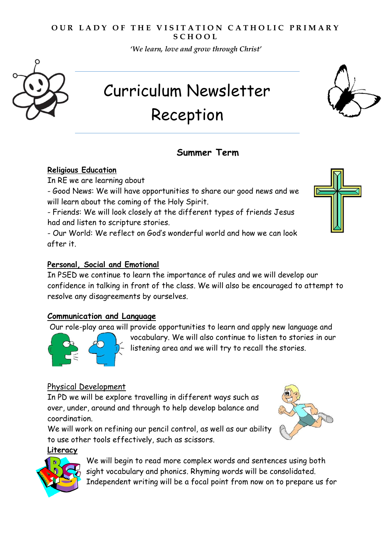#### **OUR LADY OF THE VISITATION CATHOLIC PRIMARY S C H O O L**

*'We learn, love and grow through Christ'*



# Curriculum Newsletter Reception

# **Summer Term**

#### **Religious Education**

In RE we are learning about

- Good News: We will have opportunities to share our good news and we will learn about the coming of the Holy Spirit.

- Friends: We will look closely at the different types of friends Jesus had and listen to scripture stories.

- Our World: We reflect on God's wonderful world and how we can look after it.

#### **Personal, Social and Emotional**

In PSED we continue to learn the importance of rules and we will develop our confidence in talking in front of the class. We will also be encouraged to attempt to resolve any disagreements by ourselves.

#### **Communication and Language**

Our role-play area will provide opportunities to learn and apply new language and



vocabulary. We will also continue to listen to stories in our listening area and we will try to recall the stories.

### Physical Development

In PD we will be explore travelling in different ways such as over, under, around and through to help develop balance and coordination.

We will work on refining our pencil control, as well as our ability to use other tools effectively, such as scissors.



We will begin to read more complex words and sentences using both sight vocabulary and phonics. Rhyming words will be consolidated. Independent writing will be a focal point from now on to prepare us for